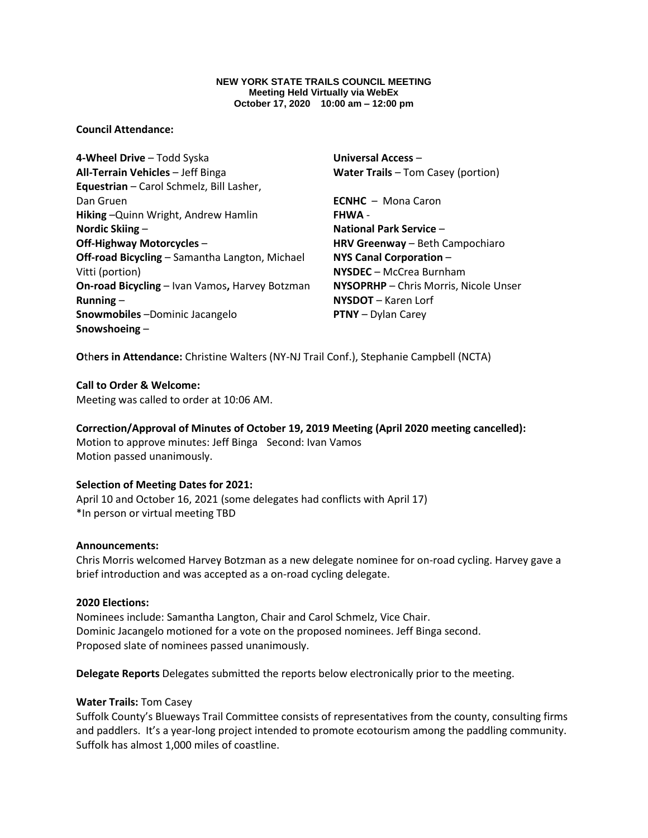#### **NEW YORK STATE TRAILS COUNCIL MEETING Meeting Held Virtually via WebEx October 17, 2020 10:00 am – 12:00 pm**

### **Council Attendance:**

**4-Wheel Drive** – Todd Syska **All-Terrain Vehicles** – Jeff Binga **Equestrian** – Carol Schmelz, Bill Lasher, Dan Gruen **Hiking** –Quinn Wright, Andrew Hamlin **Nordic Skiing** – **Off-Highway Motorcycles** – **Off-road Bicycling** – Samantha Langton, Michael Vitti (portion) **On-road Bicycling** – Ivan Vamos**,** Harvey Botzman **Running** – **Snowmobiles** –Dominic Jacangelo **Snowshoeing** –

**Universal Access** – **Water Trails** – Tom Casey (portion)

**ECNHC** – Mona Caron **FHWA** - **National Park Service** – **HRV Greenway** – Beth Campochiaro **NYS Canal Corporation** – **NYSDEC** – McCrea Burnham **NYSOPRHP** – Chris Morris, Nicole Unser **NYSDOT** – Karen Lorf **PTNY** – Dylan Carey

**O**th**ers in Attendance:** Christine Walters (NY-NJ Trail Conf.), Stephanie Campbell (NCTA)

#### **Call to Order & Welcome:**

Meeting was called to order at 10:06 AM.

# **Correction/Approval of Minutes of October 19, 2019 Meeting (April 2020 meeting cancelled):**

Motion to approve minutes: Jeff Binga Second: Ivan Vamos Motion passed unanimously.

#### **Selection of Meeting Dates for 2021:**

April 10 and October 16, 2021 (some delegates had conflicts with April 17) \*In person or virtual meeting TBD

#### **Announcements:**

Chris Morris welcomed Harvey Botzman as a new delegate nominee for on-road cycling. Harvey gave a brief introduction and was accepted as a on-road cycling delegate.

#### **2020 Elections:**

Nominees include: Samantha Langton, Chair and Carol Schmelz, Vice Chair. Dominic Jacangelo motioned for a vote on the proposed nominees. Jeff Binga second. Proposed slate of nominees passed unanimously.

**Delegate Reports** Delegates submitted the reports below electronically prior to the meeting.

### **Water Trails:** Tom Casey

Suffolk County's Blueways Trail Committee consists of representatives from the county, consulting firms and paddlers. It's a year-long project intended to promote ecotourism among the paddling community. Suffolk has almost 1,000 miles of coastline.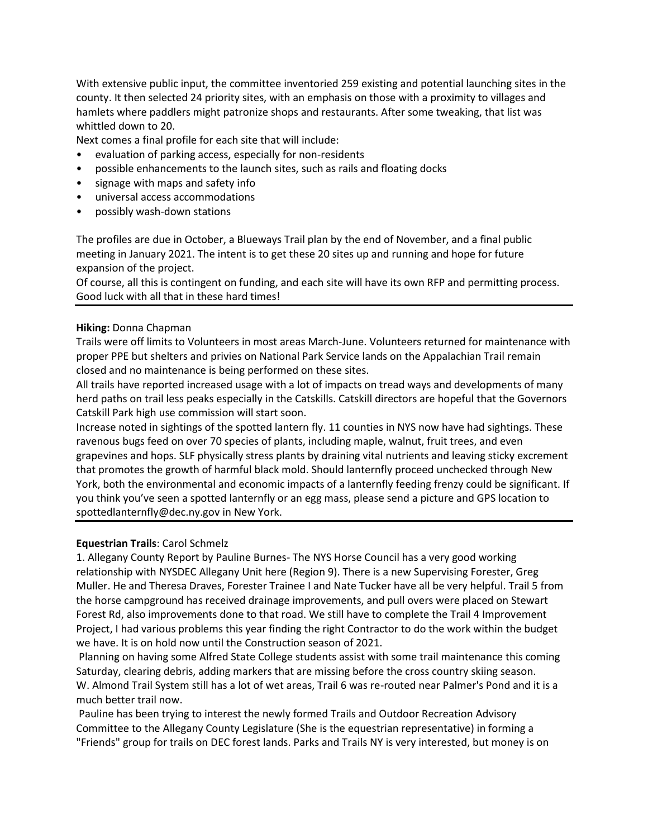With extensive public input, the committee inventoried 259 existing and potential launching sites in the county. It then selected 24 priority sites, with an emphasis on those with a proximity to villages and hamlets where paddlers might patronize shops and restaurants. After some tweaking, that list was whittled down to 20.

Next comes a final profile for each site that will include:

- evaluation of parking access, especially for non-residents
- possible enhancements to the launch sites, such as rails and floating docks
- signage with maps and safety info
- universal access accommodations
- possibly wash-down stations

The profiles are due in October, a Blueways Trail plan by the end of November, and a final public meeting in January 2021. The intent is to get these 20 sites up and running and hope for future expansion of the project.

Of course, all this is contingent on funding, and each site will have its own RFP and permitting process. Good luck with all that in these hard times!

#### **Hiking:** Donna Chapman

Trails were off limits to Volunteers in most areas March-June. Volunteers returned for maintenance with proper PPE but shelters and privies on National Park Service lands on the Appalachian Trail remain closed and no maintenance is being performed on these sites.

All trails have reported increased usage with a lot of impacts on tread ways and developments of many herd paths on trail less peaks especially in the Catskills. Catskill directors are hopeful that the Governors Catskill Park high use commission will start soon.

Increase noted in sightings of the spotted lantern fly. 11 counties in NYS now have had sightings. These ravenous bugs feed on over 70 species of plants, including maple, walnut, fruit trees, and even grapevines and hops. SLF physically stress plants by draining vital nutrients and leaving sticky excrement that promotes the growth of harmful black mold. Should lanternfly proceed unchecked through New York, both the environmental and economic impacts of a lanternfly feeding frenzy could be significant. If you think you've seen a spotted lanternfly or an egg mass, please send a picture and GPS location to spottedlanternfly@dec.ny.gov in New York.

#### **Equestrian Trails**: Carol Schmelz

1. Allegany County Report by Pauline Burnes- The NYS Horse Council has a very good working relationship with NYSDEC Allegany Unit here (Region 9). There is a new Supervising Forester, Greg Muller. He and Theresa Draves, Forester Trainee I and Nate Tucker have all be very helpful. Trail 5 from the horse campground has received drainage improvements, and pull overs were placed on Stewart Forest Rd, also improvements done to that road. We still have to complete the Trail 4 Improvement Project, I had various problems this year finding the right Contractor to do the work within the budget we have. It is on hold now until the Construction season of 2021.

Planning on having some Alfred State College students assist with some trail maintenance this coming Saturday, clearing debris, adding markers that are missing before the cross country skiing season. W. Almond Trail System still has a lot of wet areas, Trail 6 was re-routed near Palmer's Pond and it is a much better trail now.

Pauline has been trying to interest the newly formed Trails and Outdoor Recreation Advisory Committee to the Allegany County Legislature (She is the equestrian representative) in forming a "Friends" group for trails on DEC forest lands. Parks and Trails NY is very interested, but money is on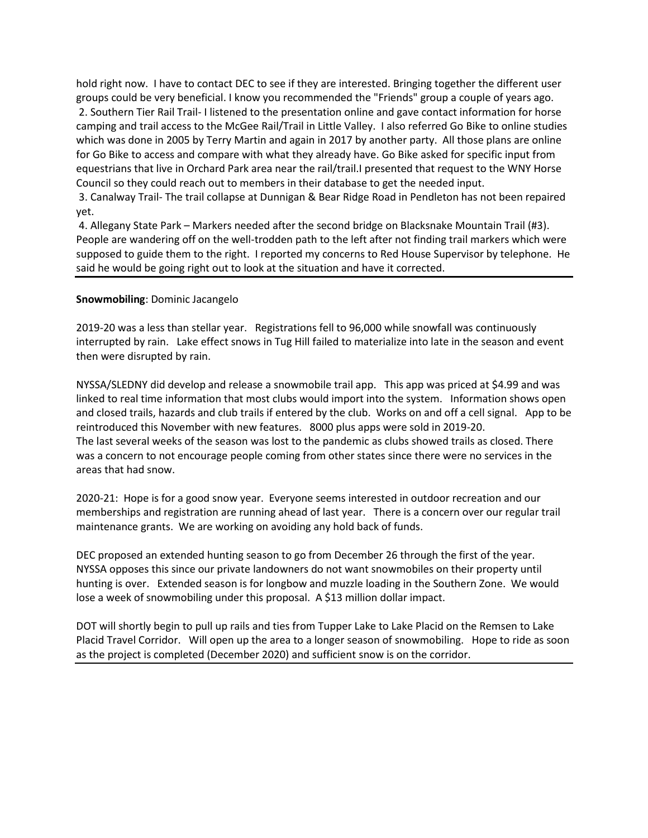hold right now. I have to contact DEC to see if they are interested. Bringing together the different user groups could be very beneficial. I know you recommended the "Friends" group a couple of years ago. 2. Southern Tier Rail Trail- I listened to the presentation online and gave contact information for horse camping and trail access to the McGee Rail/Trail in Little Valley. I also referred Go Bike to online studies which was done in 2005 by Terry Martin and again in 2017 by another party. All those plans are online for Go Bike to access and compare with what they already have. Go Bike asked for specific input from equestrians that live in Orchard Park area near the rail/trail.I presented that request to the WNY Horse Council so they could reach out to members in their database to get the needed input.

3. Canalway Trail- The trail collapse at Dunnigan & Bear Ridge Road in Pendleton has not been repaired yet.

4. Allegany State Park – Markers needed after the second bridge on Blacksnake Mountain Trail (#3). People are wandering off on the well-trodden path to the left after not finding trail markers which were supposed to guide them to the right. I reported my concerns to Red House Supervisor by telephone. He said he would be going right out to look at the situation and have it corrected.

### **Snowmobiling**: Dominic Jacangelo

2019-20 was a less than stellar year. Registrations fell to 96,000 while snowfall was continuously interrupted by rain. Lake effect snows in Tug Hill failed to materialize into late in the season and event then were disrupted by rain.

NYSSA/SLEDNY did develop and release a snowmobile trail app. This app was priced at \$4.99 and was linked to real time information that most clubs would import into the system. Information shows open and closed trails, hazards and club trails if entered by the club. Works on and off a cell signal. App to be reintroduced this November with new features. 8000 plus apps were sold in 2019-20. The last several weeks of the season was lost to the pandemic as clubs showed trails as closed. There was a concern to not encourage people coming from other states since there were no services in the areas that had snow.

2020-21: Hope is for a good snow year. Everyone seems interested in outdoor recreation and our memberships and registration are running ahead of last year. There is a concern over our regular trail maintenance grants. We are working on avoiding any hold back of funds.

DEC proposed an extended hunting season to go from December 26 through the first of the year. NYSSA opposes this since our private landowners do not want snowmobiles on their property until hunting is over. Extended season is for longbow and muzzle loading in the Southern Zone. We would lose a week of snowmobiling under this proposal. A \$13 million dollar impact.

DOT will shortly begin to pull up rails and ties from Tupper Lake to Lake Placid on the Remsen to Lake Placid Travel Corridor. Will open up the area to a longer season of snowmobiling. Hope to ride as soon as the project is completed (December 2020) and sufficient snow is on the corridor.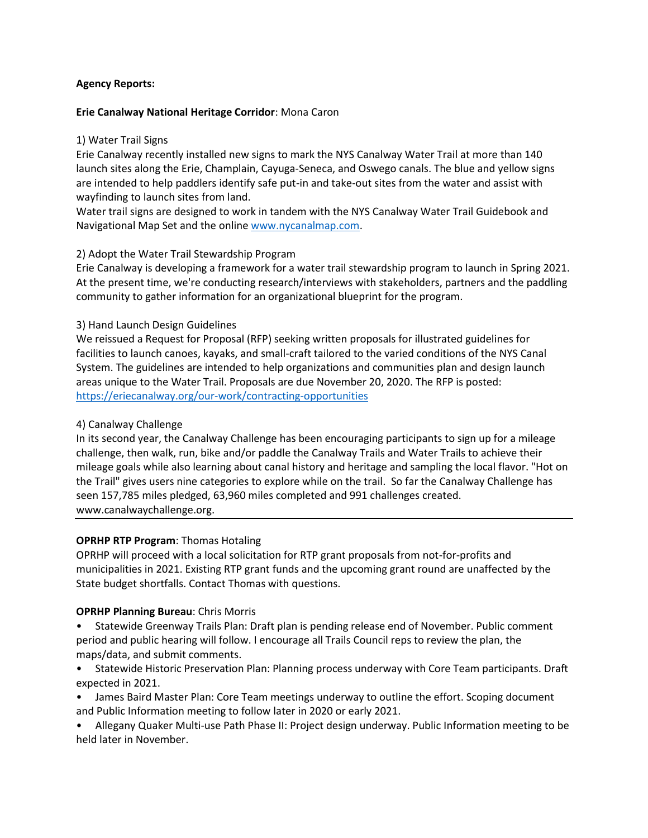### **Agency Reports:**

### **Erie Canalway National Heritage Corridor**: Mona Caron

### 1) Water Trail Signs

Erie Canalway recently installed new signs to mark the NYS Canalway Water Trail at more than 140 launch sites along the Erie, Champlain, Cayuga-Seneca, and Oswego canals. The blue and yellow signs are intended to help paddlers identify safe put-in and take-out sites from the water and assist with wayfinding to launch sites from land.

Water trail signs are designed to work in tandem with the NYS Canalway Water Trail Guidebook and Navigational Map Set and the online [www.nycanalmap.com.](http://www.nycanalmap.com/)

## 2) Adopt the Water Trail Stewardship Program

Erie Canalway is developing a framework for a water trail stewardship program to launch in Spring 2021. At the present time, we're conducting research/interviews with stakeholders, partners and the paddling community to gather information for an organizational blueprint for the program.

## 3) Hand Launch Design Guidelines

We reissued a Request for Proposal (RFP) seeking written proposals for illustrated guidelines for facilities to launch canoes, kayaks, and small-craft tailored to the varied conditions of the NYS Canal System. The guidelines are intended to help organizations and communities plan and design launch areas unique to the Water Trail. Proposals are due November 20, 2020. The RFP is posted: <https://eriecanalway.org/our-work/contracting-opportunities>

## 4) Canalway Challenge

In its second year, the Canalway Challenge has been encouraging participants to sign up for a mileage challenge, then walk, run, bike and/or paddle the Canalway Trails and Water Trails to achieve their mileage goals while also learning about canal history and heritage and sampling the local flavor. "Hot on the Trail" gives users nine categories to explore while on the trail. So far the Canalway Challenge has seen 157,785 miles pledged, 63,960 miles completed and 991 challenges created. www.canalwaychallenge.org.

### **OPRHP RTP Program**: Thomas Hotaling

OPRHP will proceed with a local solicitation for RTP grant proposals from not-for-profits and municipalities in 2021. Existing RTP grant funds and the upcoming grant round are unaffected by the State budget shortfalls. Contact Thomas with questions.

### **OPRHP Planning Bureau**: Chris Morris

- Statewide Greenway Trails Plan: Draft plan is pending release end of November. Public comment period and public hearing will follow. I encourage all Trails Council reps to review the plan, the maps/data, and submit comments.
- Statewide Historic Preservation Plan: Planning process underway with Core Team participants. Draft expected in 2021.
- James Baird Master Plan: Core Team meetings underway to outline the effort. Scoping document and Public Information meeting to follow later in 2020 or early 2021.
- Allegany Quaker Multi-use Path Phase II: Project design underway. Public Information meeting to be held later in November.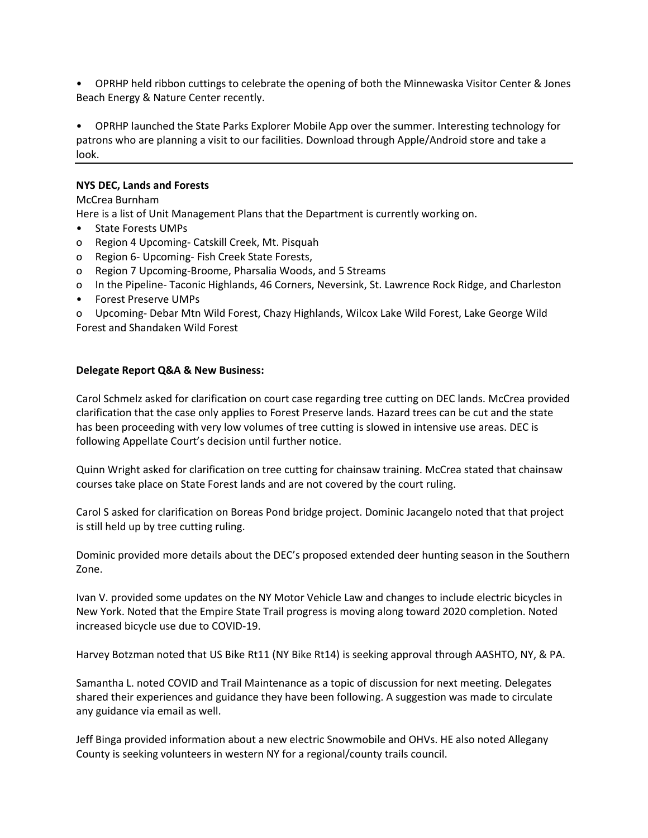• OPRHP held ribbon cuttings to celebrate the opening of both the Minnewaska Visitor Center & Jones Beach Energy & Nature Center recently.

• OPRHP launched the State Parks Explorer Mobile App over the summer. Interesting technology for patrons who are planning a visit to our facilities. Download through Apple/Android store and take a look.

### **NYS DEC, Lands and Forests**

McCrea Burnham

Here is a list of Unit Management Plans that the Department is currently working on.

- State Forests UMPs
- o Region 4 Upcoming- Catskill Creek, Mt. Pisquah
- o Region 6- Upcoming- Fish Creek State Forests,
- o Region 7 Upcoming-Broome, Pharsalia Woods, and 5 Streams
- o In the Pipeline- Taconic Highlands, 46 Corners, Neversink, St. Lawrence Rock Ridge, and Charleston
- Forest Preserve UMPs

o Upcoming- Debar Mtn Wild Forest, Chazy Highlands, Wilcox Lake Wild Forest, Lake George Wild Forest and Shandaken Wild Forest

#### **Delegate Report Q&A & New Business:**

Carol Schmelz asked for clarification on court case regarding tree cutting on DEC lands. McCrea provided clarification that the case only applies to Forest Preserve lands. Hazard trees can be cut and the state has been proceeding with very low volumes of tree cutting is slowed in intensive use areas. DEC is following Appellate Court's decision until further notice.

Quinn Wright asked for clarification on tree cutting for chainsaw training. McCrea stated that chainsaw courses take place on State Forest lands and are not covered by the court ruling.

Carol S asked for clarification on Boreas Pond bridge project. Dominic Jacangelo noted that that project is still held up by tree cutting ruling.

Dominic provided more details about the DEC's proposed extended deer hunting season in the Southern Zone.

Ivan V. provided some updates on the NY Motor Vehicle Law and changes to include electric bicycles in New York. Noted that the Empire State Trail progress is moving along toward 2020 completion. Noted increased bicycle use due to COVID-19.

Harvey Botzman noted that US Bike Rt11 (NY Bike Rt14) is seeking approval through AASHTO, NY, & PA.

Samantha L. noted COVID and Trail Maintenance as a topic of discussion for next meeting. Delegates shared their experiences and guidance they have been following. A suggestion was made to circulate any guidance via email as well.

Jeff Binga provided information about a new electric Snowmobile and OHVs. HE also noted Allegany County is seeking volunteers in western NY for a regional/county trails council.